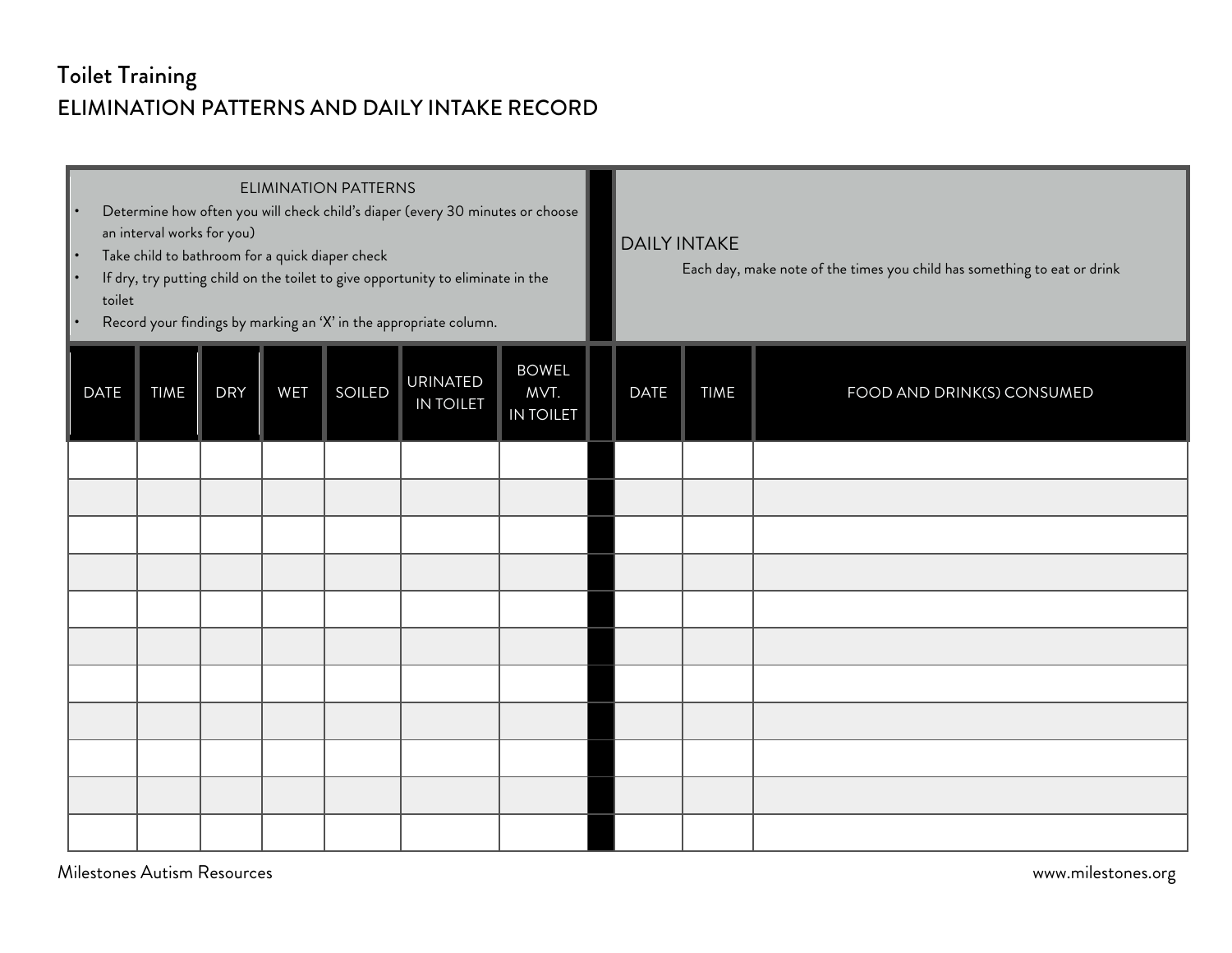## Toilet Training ELIMINATION PATTERNS AND DAILY INTAKE RECORD

| <b>ELIMINATION PATTERNS</b><br>Determine how often you will check child's diaper (every 30 minutes or choose<br>$\bullet$<br>an interval works for you)<br>Take child to bathroom for a quick diaper check<br>$\bullet$<br>If dry, try putting child on the toilet to give opportunity to eliminate in the<br>toilet<br>Record your findings by marking an 'X' in the appropriate column.<br>$\bullet$ |             |            |            |        |                                     |                                          |  | <b>DAILY INTAKE</b><br>Each day, make note of the times you child has something to eat or drink |             |                            |  |
|--------------------------------------------------------------------------------------------------------------------------------------------------------------------------------------------------------------------------------------------------------------------------------------------------------------------------------------------------------------------------------------------------------|-------------|------------|------------|--------|-------------------------------------|------------------------------------------|--|-------------------------------------------------------------------------------------------------|-------------|----------------------------|--|
| <b>DATE</b>                                                                                                                                                                                                                                                                                                                                                                                            | <b>TIME</b> | <b>DRY</b> | <b>WET</b> | SOILED | <b>URINATED</b><br><b>IN TOILET</b> | <b>BOWEL</b><br>MVT.<br><b>IN TOILET</b> |  | <b>DATE</b>                                                                                     | <b>TIME</b> | FOOD AND DRINK(S) CONSUMED |  |
|                                                                                                                                                                                                                                                                                                                                                                                                        |             |            |            |        |                                     |                                          |  |                                                                                                 |             |                            |  |
|                                                                                                                                                                                                                                                                                                                                                                                                        |             |            |            |        |                                     |                                          |  |                                                                                                 |             |                            |  |
|                                                                                                                                                                                                                                                                                                                                                                                                        |             |            |            |        |                                     |                                          |  |                                                                                                 |             |                            |  |
|                                                                                                                                                                                                                                                                                                                                                                                                        |             |            |            |        |                                     |                                          |  |                                                                                                 |             |                            |  |
|                                                                                                                                                                                                                                                                                                                                                                                                        |             |            |            |        |                                     |                                          |  |                                                                                                 |             |                            |  |
|                                                                                                                                                                                                                                                                                                                                                                                                        |             |            |            |        |                                     |                                          |  |                                                                                                 |             |                            |  |
|                                                                                                                                                                                                                                                                                                                                                                                                        |             |            |            |        |                                     |                                          |  |                                                                                                 |             |                            |  |
|                                                                                                                                                                                                                                                                                                                                                                                                        |             |            |            |        |                                     |                                          |  |                                                                                                 |             |                            |  |
|                                                                                                                                                                                                                                                                                                                                                                                                        |             |            |            |        |                                     |                                          |  |                                                                                                 |             |                            |  |
|                                                                                                                                                                                                                                                                                                                                                                                                        |             |            |            |        |                                     |                                          |  |                                                                                                 |             |                            |  |
|                                                                                                                                                                                                                                                                                                                                                                                                        |             |            |            |        |                                     |                                          |  |                                                                                                 |             |                            |  |